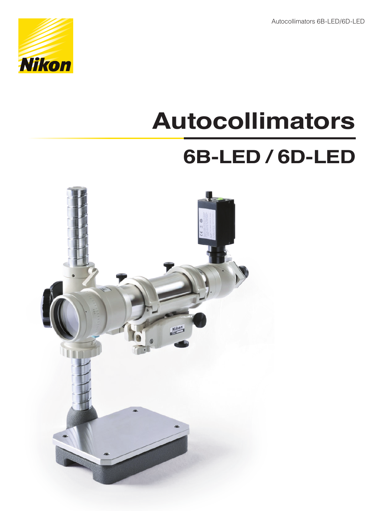Autocollimators 6B-LED/6D-LED



# **Autocollimators**

## **6B-LED / 6D-LED**

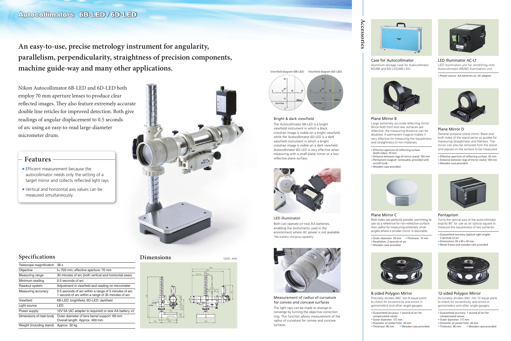Nikon Autocollimator 6B-LED and 6D-LED both employ 70 mm aperture lenses to produce clear reflected images. They also feature extremely accurate double line reticles for improved detection. Both give readings of angular displacement to 0.5 seconds of arc using an easy-to-read large-diameter micrometer drum.

Large extremely accurate reflecting mirror. Since both front and rear surfaces are reflective, the measuring distance can be doubled. A permanent magnet makes it very effective for measuring the squareness and straightness of iron materials.

**An easy-to-use, precise metrology instrument for angularity, parallelism, perpendicularity, straightness of precision components, machine guide-way and many other applications.** 

**Accessories**

Accessories





Case for Autocollimator Aluminum storage case for Autocollimator 6D/6B and 6D-LED/6B-LED.

### LED Illuminator AC-L1

LED illumination unit for retrofitting onto Autocollimator 6B/6D illumination unit.

Power source: AA batteries x2, AC adaptor



### Plane Mirror B

- Guaranteed accuracy: 1 second of arc for compensated values
- Outer diameter: 117 mm
- Diameter of center hole: 20 mm
- Thickness: 46 mm Wooden case provided
- Guaranteed accuracy: 1 second of arc for
	-
	-
- Thickness: 46 mm Wooden case provided



- Effective aperture of reflecting surface
- Distance between legs of mirror stand: 100 mm Permanent magnet: removable, provided with
	-



(both sides): 70 mm on/off knob Wooden case provided

### Plane Mirror D

General-purpose plane mirror. Base and both sides of the stand serve as guides for measuring straightness and flatness. The mirror can also be removed from the stand and placed on the surface to be measured.

- Effective aperture of reflecting surface: 42 mm
- Distance between legs of mirror stand: 100 mm
- Wooden case provided



- **•** Efficient measurement because the autocollimator needs only the setting of a target mirror and collects reflected light rays.
- Vertical and horizontal axis values can be measured simultaneously.



### 12-sided Polygon Mirror

Accurately divides 360˚ into 12 equal parts to check for eccentricity and errors in goniometers and other angle gauges.

8-sided Polygon Mirror

Precisely divides 360˚ into 8 equal parts to check for eccentricity and errors in goniometers and other angle gauges.

compensated values Outer diameter: 117 mm Diameter of center hole: 20 mm





Both sides are perfectly parallel, permitting its use as a reference for non-reflective surface. Also useful for measuring extremely small angles where a smaller mirror is desirable.



### Pentaprism

Turns the optical axis of the autocollimator exactly 90˚ for use as an optical square to measure the squareness of two surfaces.

- Guaranteed accuracy (optical right angle): 2 seconds of arc
- Dimensions: 65 x 65 x 45 mm
- Metal frame and wooden case provided



### **Dimensions**





| Telescope magnification 38 x |                                                                                                              |
|------------------------------|--------------------------------------------------------------------------------------------------------------|
| Objective                    | f= 700 mm; effective aperture: 70 mm                                                                         |
| Measuring range              | 30 minutes of arc (both vertical and horizontal axes)                                                        |
| Minimum reading              | 0.5 seconds of arc                                                                                           |
| Readout system               | Adjustment in viewfield and reading on micrometer                                                            |
| Measuring accuracy           | 0.5 seconds of arc within a range of 5 minutes of arc<br>1 second of arc within a range of 30 minutes of arc |
| Viewfield                    | 6B-LED: brightfield, 6D-LED: darkfield                                                                       |
| Light source                 | LED                                                                                                          |
| Power supply                 | 12V 5A (AC adapter is required) or size AA battery x2                                                        |
| Dimensions of main body      | Outer diameter of lens barrel support: 68 mm<br>Overall length: Approx. 490 mm                               |
| Weight (including stand)     | Approx. 32 kg                                                                                                |

### **Specifications**

### **Features**

Measurement of radius of curvature for convex and concave surfaces

The light rays can be made to diverge or converge by turning the objective correction ring. This function allows measurement of the radius of curvature for convex and concave surfaces.



LED illuminator Both can operate on two AA batteries, enabling the instruments used in the environment where AC power is not available. \*No battery charging capability



### Bright & dark viewfield

The Autocollimator 6B-LED is a bright viewfield instrument in which a black crosshair image is visible on a bright viewfield, while the Autocollimator 6D-LED is a dark viewfield instrument in which a bright crosshair image is visible on a dark viewfield. Autocollimator 6D-LED is very effective when measuring with a small plane mirror or a lowreflective plane surface.



Viewfield diagram (6B-LED) Viewfield diagram (6D-LED)